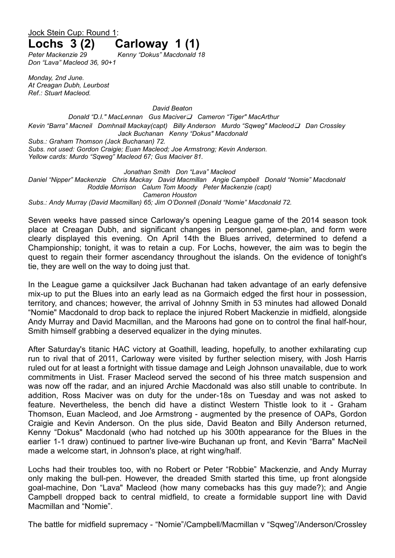## Jock Stein Cup: Round 1: **Lochs 3 (2) Carloway 1 (1)**

*Peter Mackenzie 29 Kenny "Dokus" Macdonald 18 Don "Lava" Macleod 36, 90+1*

*Monday, 2nd June. At Creagan Dubh, Leurbost Ref.: Stuart Macleod.*

*David Beaton*

*Donald "D.I." MacLennan Gus Maciver❑ Cameron "Tiger" MacArthur Kevin "Barra" Macneil Domhnall Mackay(capt) Billy Anderson Murdo "Sqweg" Macleod❑ Dan Crossley Jack Buchanan Kenny "Dokus" Macdonald Subs.: Graham Thomson (Jack Buchanan) 72. Subs. not used: Gordon Craigie; Euan Macleod; Joe Armstrong; Kevin Anderson. Yellow cards: Murdo "Sqweg" Macleod 67; Gus Maciver 81.*

*Jonathan Smith Don "Lava" Macleod Daniel "Nipper" Mackenzie Chris Mackay David Macmillan Angie Campbell Donald "Nomie" Macdonald Roddie Morrison Calum Tom Moody Peter Mackenzie (capt) Cameron Houston Subs.: Andy Murray (David Macmillan) 65; Jim O'Donnell (Donald "Nomie" Macdonald 72.*

Seven weeks have passed since Carloway's opening League game of the 2014 season took place at Creagan Dubh, and significant changes in personnel, game-plan, and form were clearly displayed this evening. On April 14th the Blues arrived, determined to defend a Championship; tonight, it was to retain a cup. For Lochs, however, the aim was to begin the quest to regain their former ascendancy throughout the islands. On the evidence of tonight's tie, they are well on the way to doing just that.

In the League game a quicksilver Jack Buchanan had taken advantage of an early defensive mix-up to put the Blues into an early lead as na Gormaich edged the first hour in possession, territory, and chances; however, the arrival of Johnny Smith in 53 minutes had allowed Donald "Nomie" Macdonald to drop back to replace the injured Robert Mackenzie in midfield, alongside Andy Murray and David Macmillan, and the Maroons had gone on to control the final half-hour, Smith himself grabbing a deserved equalizer in the dying minutes.

After Saturday's titanic HAC victory at Goathill, leading, hopefully, to another exhilarating cup run to rival that of 2011, Carloway were visited by further selection misery, with Josh Harris ruled out for at least a fortnight with tissue damage and Leigh Johnson unavailable, due to work commitments in Uist. Fraser Macleod served the second of his three match suspension and was now off the radar, and an injured Archie Macdonald was also still unable to contribute. In addition, Ross Maciver was on duty for the under-18s on Tuesday and was not asked to feature. Nevertheless, the bench did have a distinct Western Thistle look to it - Graham Thomson, Euan Macleod, and Joe Armstrong - augmented by the presence of OAPs, Gordon Craigie and Kevin Anderson. On the plus side, David Beaton and Billy Anderson returned, Kenny "Dokus" Macdonald (who had notched up his 300th appearance for the Blues in the earlier 1-1 draw) continued to partner live-wire Buchanan up front, and Kevin "Barra" MacNeil made a welcome start, in Johnson's place, at right wing/half.

Lochs had their troubles too, with no Robert or Peter "Robbie" Mackenzie, and Andy Murray only making the bull-pen. However, the dreaded Smith started this time, up front alongside goal-machine, Don "Lava" Macleod (how many comebacks has this guy made?); and Angie Campbell dropped back to central midfield, to create a formidable support line with David Macmillan and "Nomie".

The battle for midfield supremacy - "Nomie"/Campbell/Macmillan v "Sqweg"/Anderson/Crossley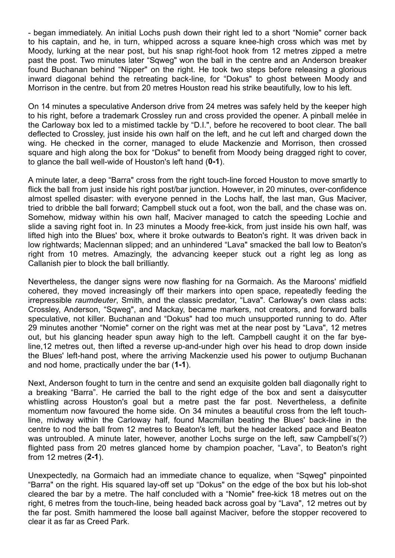- began immediately. An initial Lochs push down their right led to a short "Nomie" corner back to his captain, and he, in turn, whipped across a square knee-high cross which was met by Moody, lurking at the near post, but his snap right-foot hook from 12 metres zipped a metre past the post. Two minutes later "Sqweg" won the ball in the centre and an Anderson breaker found Buchanan behind "Nipper" on the right. He took two steps before releasing a glorious inward diagonal behind the retreating back-line, for "Dokus" to ghost between Moody and Morrison in the centre. but from 20 metres Houston read his strike beautifully, low to his left.

On 14 minutes a speculative Anderson drive from 24 metres was safely held by the keeper high to his right, before a trademark Crossley run and cross provided the opener. A pinball melée in the Carloway box led to a mistimed tackle by "D.I.", before he recovered to boot clear. The ball deflected to Crossley, just inside his own half on the left, and he cut left and charged down the wing. He checked in the corner, managed to elude Mackenzie and Morrison, then crossed square and high along the box for "Dokus" to benefit from Moody being dragged right to cover, to glance the ball well-wide of Houston's left hand (**0-1**).

A minute later, a deep "Barra" cross from the right touch-line forced Houston to move smartly to flick the ball from just inside his right post/bar junction. However, in 20 minutes, over-confidence almost spelled disaster: with everyone penned in the Lochs half, the last man, Gus Maciver, tried to dribble the ball forward; Campbell stuck out a foot, won the ball, and the chase was on. Somehow, midway within his own half, Maciver managed to catch the speeding Lochie and slide a saving right foot in. In 23 minutes a Moody free-kick, from just inside his own half, was lifted high into the Blues' box, where it broke outwards to Beaton's right. It was driven back in low rightwards; Maclennan slipped; and an unhindered "Lava" smacked the ball low to Beaton's right from 10 metres. Amazingly, the advancing keeper stuck out a right leg as long as Callanish pier to block the ball brilliantly.

Nevertheless, the danger signs were now flashing for na Gormaich. As the Maroons' midfield cohered, they moved increasingly off their markers into open space, repeatedly feeding the irrepressible *raumdeuter*, Smith, and the classic predator, "Lava". Carloway's own class acts: Crossley, Anderson, "Sqweg", and Mackay, became markers, not creators, and forward balls speculative, not killer. Buchanan and "Dokus" had too much unsupported running to do. After 29 minutes another "Nomie" corner on the right was met at the near post by "Lava", 12 metres out, but his glancing header spun away high to the left. Campbell caught it on the far byeline,12 metres out, then lifted a reverse up-and-under high over his head to drop down inside the Blues' left-hand post, where the arriving Mackenzie used his power to outjump Buchanan and nod home, practically under the bar (**1-1**).

Next, Anderson fought to turn in the centre and send an exquisite golden ball diagonally right to a breaking "Barra". He carried the ball to the right edge of the box and sent a daisycutter whistling across Houston's goal but a metre past the far post. Nevertheless, a definite momentum now favoured the home side. On 34 minutes a beautiful cross from the left touchline, midway within the Carloway half, found Macmillan beating the Blues' back-line in the centre to nod the ball from 12 metres to Beaton's left, but the header lacked pace and Beaton was untroubled. A minute later, however, another Lochs surge on the left, saw Campbell's(?) flighted pass from 20 metres glanced home by champion poacher, "Lava", to Beaton's right from 12 metres (**2-1**).

Unexpectedly, na Gormaich had an immediate chance to equalize, when "Sqweg" pinpointed "Barra" on the right. His squared lay-off set up "Dokus" on the edge of the box but his lob-shot cleared the bar by a metre. The half concluded with a "Nomie" free-kick 18 metres out on the right, 6 metres from the touch-line, being headed back across goal by "Lava", 12 metres out by the far post. Smith hammered the loose ball against Maciver, before the stopper recovered to clear it as far as Creed Park.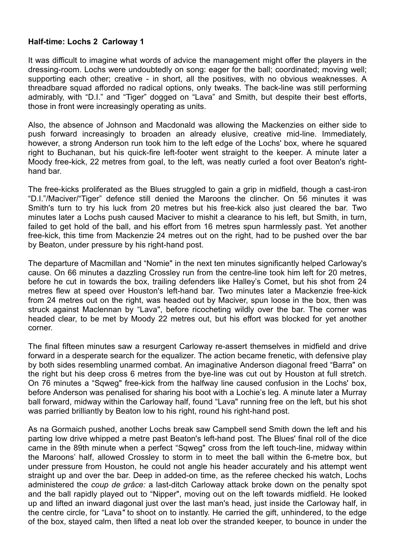## **Half-time: Lochs 2 Carloway 1**

It was difficult to imagine what words of advice the management might offer the players in the dressing-room. Lochs were undoubtedly on song: eager for the ball; coordinated; moving well; supporting each other; creative - in short, all the positives, with no obvious weaknesses. A threadbare squad afforded no radical options, only tweaks. The back-line was still performing admirably, with "D.I." and "Tiger" dogged on "Lava" and Smith, but despite their best efforts, those in front were increasingly operating as units.

Also, the absence of Johnson and Macdonald was allowing the Mackenzies on either side to push forward increasingly to broaden an already elusive, creative mid-line. Immediately, however, a strong Anderson run took him to the left edge of the Lochs' box, where he squared right to Buchanan, but his quick-fire left-footer went straight to the keeper. A minute later a Moody free-kick, 22 metres from goal, to the left, was neatly curled a foot over Beaton's righthand bar.

The free-kicks proliferated as the Blues struggled to gain a grip in midfield, though a cast-iron "D.I."/Maciver/"Tiger" defence still denied the Maroons the clincher. On 56 minutes it was Smith's turn to try his luck from 20 metres but his free-kick also just cleared the bar. Two minutes later a Lochs push caused Maciver to mishit a clearance to his left, but Smith, in turn, failed to get hold of the ball, and his effort from 16 metres spun harmlessly past. Yet another free-kick, this time from Mackenzie 24 metres out on the right, had to be pushed over the bar by Beaton, under pressure by his right-hand post.

The departure of Macmillan and "Nomie" in the next ten minutes significantly helped Carloway's cause. On 66 minutes a dazzling Crossley run from the centre-line took him left for 20 metres, before he cut in towards the box, trailing defenders like Halley's Comet, but his shot from 24 metres flew at speed over Houston's left-hand bar. Two minutes later a Mackenzie free-kick from 24 metres out on the right, was headed out by Maciver, spun loose in the box, then was struck against Maclennan by "Lava", before ricocheting wildly over the bar. The corner was headed clear, to be met by Moody 22 metres out, but his effort was blocked for yet another corner.

The final fifteen minutes saw a resurgent Carloway re-assert themselves in midfield and drive forward in a desperate search for the equalizer. The action became frenetic, with defensive play by both sides resembling unarmed combat. An imaginative Anderson diagonal freed "Barra" on the right but his deep cross 6 metres from the bye-line was cut out by Houston at full stretch. On 76 minutes a "Sqweg" free-kick from the halfway line caused confusion in the Lochs' box, before Anderson was penalised for sharing his boot with a Lochie's leg. A minute later a Murray ball forward, midway within the Carloway half, found "Lava" running free on the left, but his shot was parried brilliantly by Beaton low to his right, round his right-hand post.

As na Gormaich pushed, another Lochs break saw Campbell send Smith down the left and his parting low drive whipped a metre past Beaton's left-hand post. The Blues' final roll of the dice came in the 89th minute when a perfect "Sqweg" cross from the left touch-line, midway within the Maroons' half, allowed Crossley to storm in to meet the ball within the 6-metre box, but under pressure from Houston, he could not angle his header accurately and his attempt went straight up and over the bar. Deep in added-on time, as the referee checked his watch, Lochs administered the *coup de grâce:* a last-ditch Carloway attack broke down on the penalty spot and the ball rapidly played out to "Nipper", moving out on the left towards midfield. He looked up and lifted an inward diagonal just over the last man's head, just inside the Carloway half, in the centre circle, for "Lava*"* to shoot on to instantly. He carried the gift, unhindered, to the edge of the box, stayed calm, then lifted a neat lob over the stranded keeper, to bounce in under the